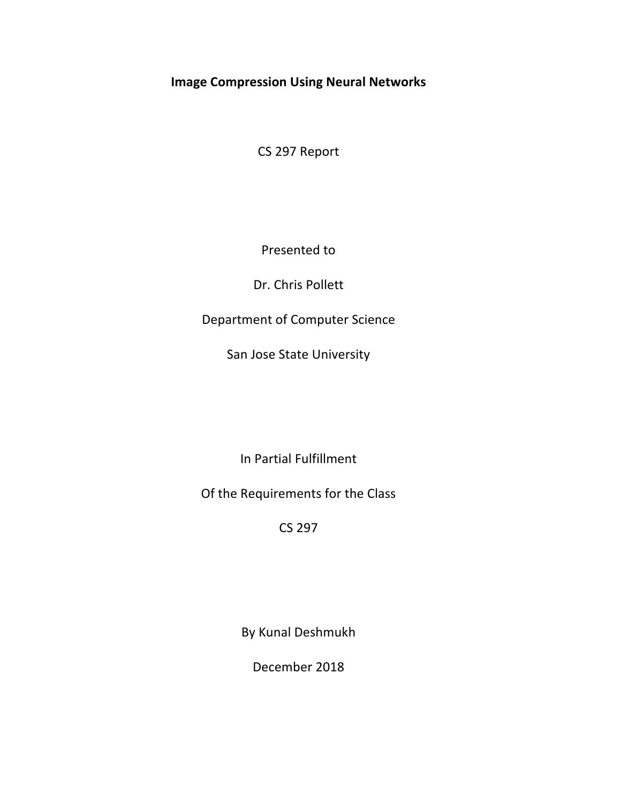# **Image Compression Using Neural Networks**

CS 297 Report

Presented to

Dr. Chris Pollett

Department of Computer Science

San Jose State University

In Partial Fulfillment

Of the Requirements for the Class

CS 297

By Kunal Deshmukh

December 2018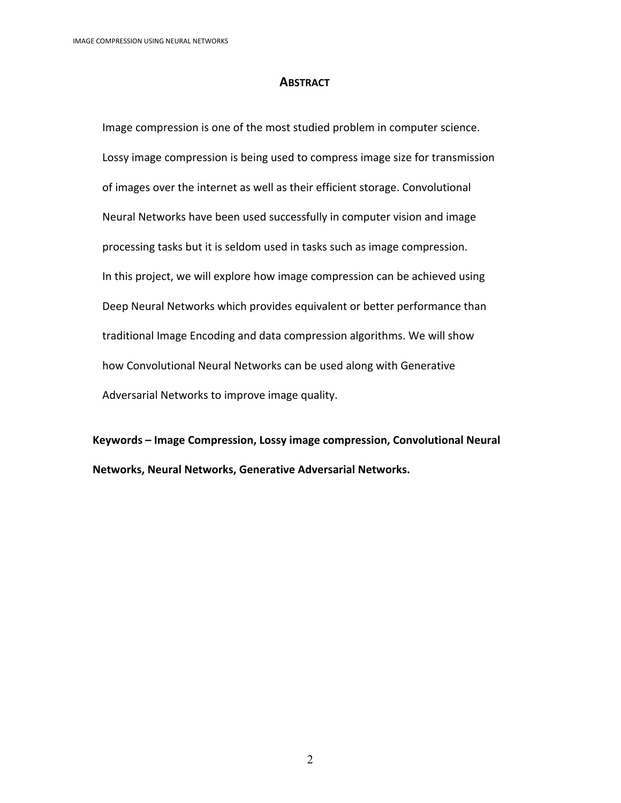#### **ABSTRACT**

Image compression is one of the most studied problem in computer science. Lossy image compression is being used to compress image size for transmission of images over the internet as well as their efficient storage. Convolutional Neural Networks have been used successfully in computer vision and image processing tasks but it is seldom used in tasks such as image compression. In this project, we will explore how image compression can be achieved using Deep Neural Networks which provides equivalent or better performance than traditional Image Encoding and data compression algorithms. We will show how Convolutional Neural Networks can be used along with Generative Adversarial Networks to improve image quality.

**Keywords – Image Compression, Lossy image compression, Convolutional Neural Networks, Neural Networks, Generative Adversarial Networks.**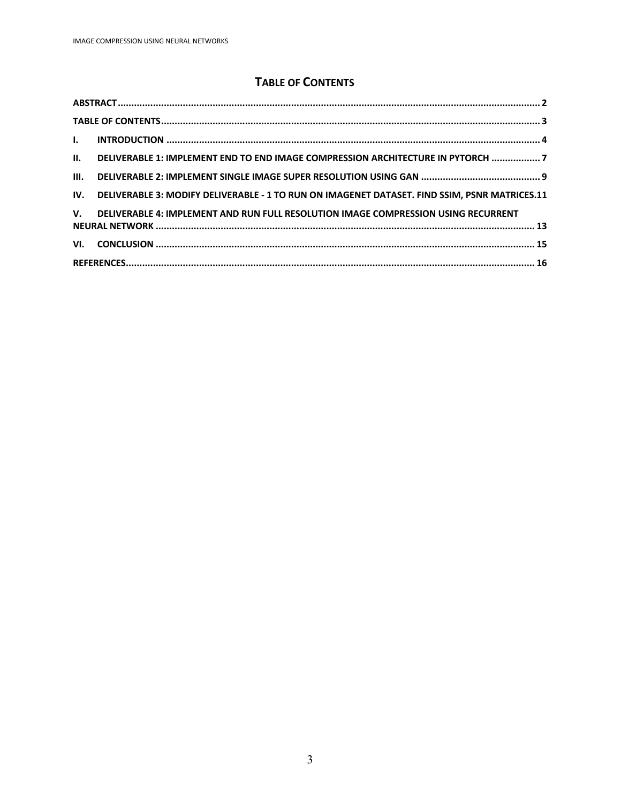## **TABLE OF CONTENTS**

|     | II. DELIVERABLE 1: IMPLEMENT END TO END IMAGE COMPRESSION ARCHITECTURE IN PYTORCH 7               |  |  |  |
|-----|---------------------------------------------------------------------------------------------------|--|--|--|
| HI. |                                                                                                   |  |  |  |
|     | IV. DELIVERABLE 3: MODIFY DELIVERABLE - 1 TO RUN ON IMAGENET DATASET. FIND SSIM, PSNR MATRICES.11 |  |  |  |
|     | V. DELIVERABLE 4: IMPLEMENT AND RUN FULL RESOLUTION IMAGE COMPRESSION USING RECURRENT             |  |  |  |
|     |                                                                                                   |  |  |  |
|     |                                                                                                   |  |  |  |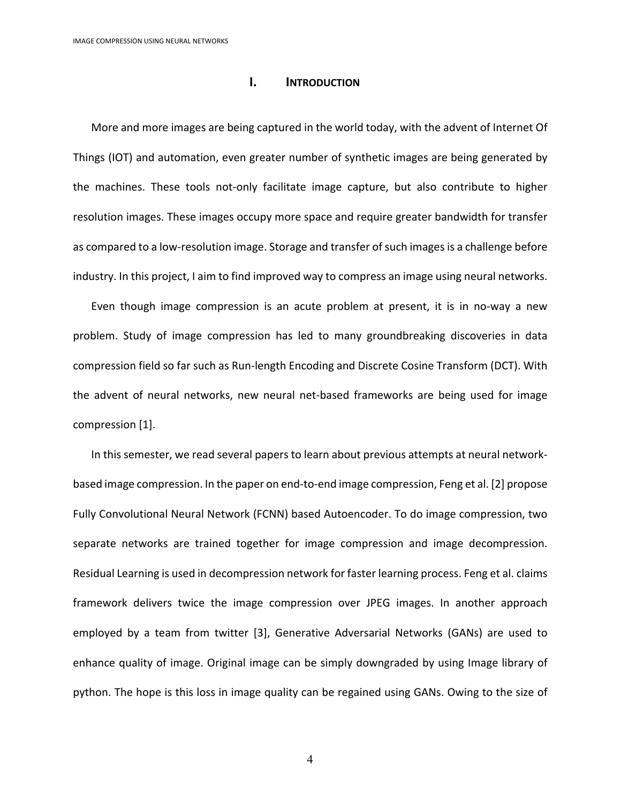### **I. INTRODUCTION**

More and more images are being captured in the world today, with the advent of Internet Of Things (IOT) and automation, even greater number of synthetic images are being generated by the machines. These tools not-only facilitate image capture, but also contribute to higher resolution images. These images occupy more space and require greater bandwidth for transfer as compared to a low-resolution image. Storage and transfer of such images is a challenge before industry. In this project, I aim to find improved way to compress an image using neural networks.

Even though image compression is an acute problem at present, it is in no-way a new problem. Study of image compression has led to many groundbreaking discoveries in data compression field so far such as Run-length Encoding and Discrete Cosine Transform (DCT). With the advent of neural networks, new neural net-based frameworks are being used for image compression [1].

In this semester, we read several papers to learn about previous attempts at neural networkbased image compression. In the paper on end-to-end image compression, Feng et al. [2] propose Fully Convolutional Neural Network (FCNN) based Autoencoder. To do image compression, two separate networks are trained together for image compression and image decompression. Residual Learning is used in decompression network for faster learning process. Feng et al. claims framework delivers twice the image compression over JPEG images. In another approach employed by a team from twitter [3], Generative Adversarial Networks (GANs) are used to enhance quality of image. Original image can be simply downgraded by using Image library of python. The hope is this loss in image quality can be regained using GANs. Owing to the size of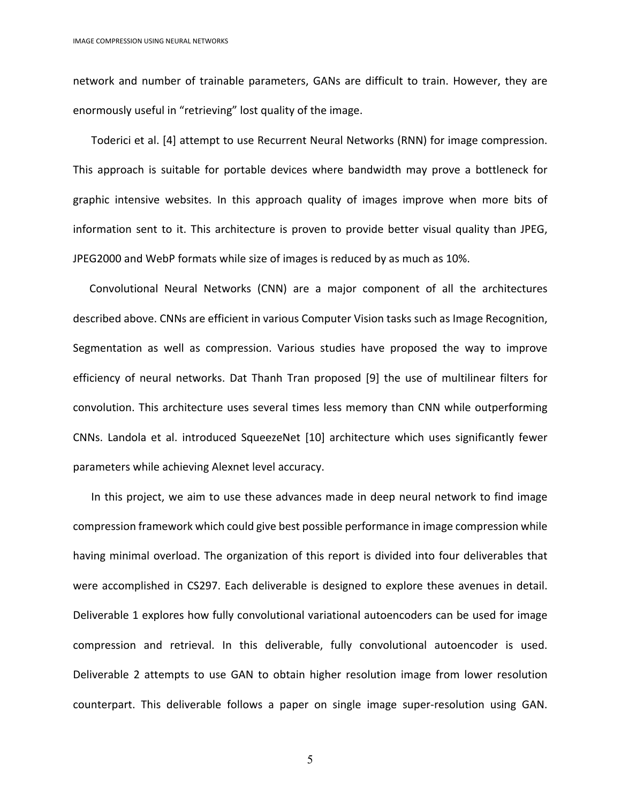network and number of trainable parameters, GANs are difficult to train. However, they are enormously useful in "retrieving" lost quality of the image.

Toderici et al. [4] attempt to use Recurrent Neural Networks (RNN) for image compression. This approach is suitable for portable devices where bandwidth may prove a bottleneck for graphic intensive websites. In this approach quality of images improve when more bits of information sent to it. This architecture is proven to provide better visual quality than JPEG, JPEG2000 and WebP formats while size of images is reduced by as much as 10%.

 Convolutional Neural Networks (CNN) are a major component of all the architectures described above. CNNs are efficient in various Computer Vision tasks such as Image Recognition, Segmentation as well as compression. Various studies have proposed the way to improve efficiency of neural networks. Dat Thanh Tran proposed [9] the use of multilinear filters for convolution. This architecture uses several times less memory than CNN while outperforming CNNs. Landola et al. introduced SqueezeNet [10] architecture which uses significantly fewer parameters while achieving Alexnet level accuracy.

In this project, we aim to use these advances made in deep neural network to find image compression framework which could give best possible performance in image compression while having minimal overload. The organization of this report is divided into four deliverables that were accomplished in CS297. Each deliverable is designed to explore these avenues in detail. Deliverable 1 explores how fully convolutional variational autoencoders can be used for image compression and retrieval. In this deliverable, fully convolutional autoencoder is used. Deliverable 2 attempts to use GAN to obtain higher resolution image from lower resolution counterpart. This deliverable follows a paper on single image super-resolution using GAN.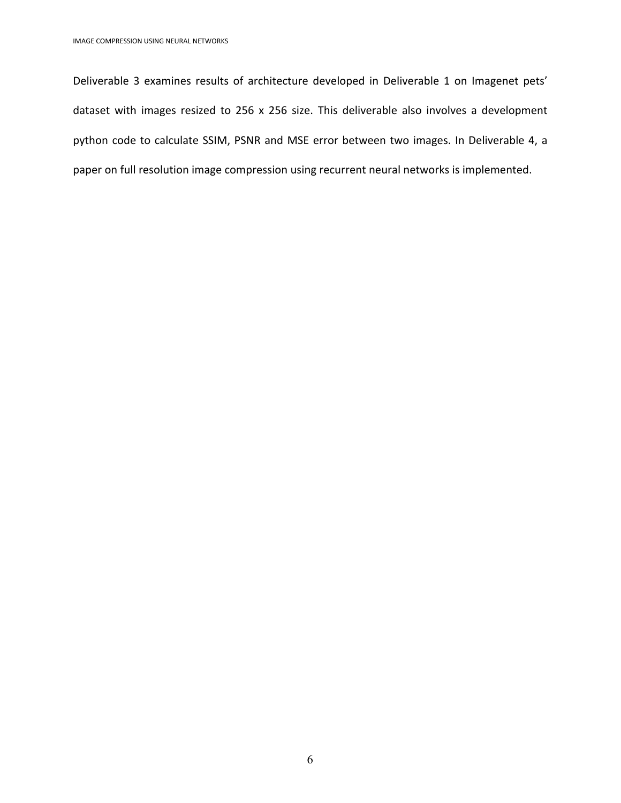Deliverable 3 examines results of architecture developed in Deliverable 1 on Imagenet pets' dataset with images resized to 256 x 256 size. This deliverable also involves a development python code to calculate SSIM, PSNR and MSE error between two images. In Deliverable 4, a paper on full resolution image compression using recurrent neural networks is implemented.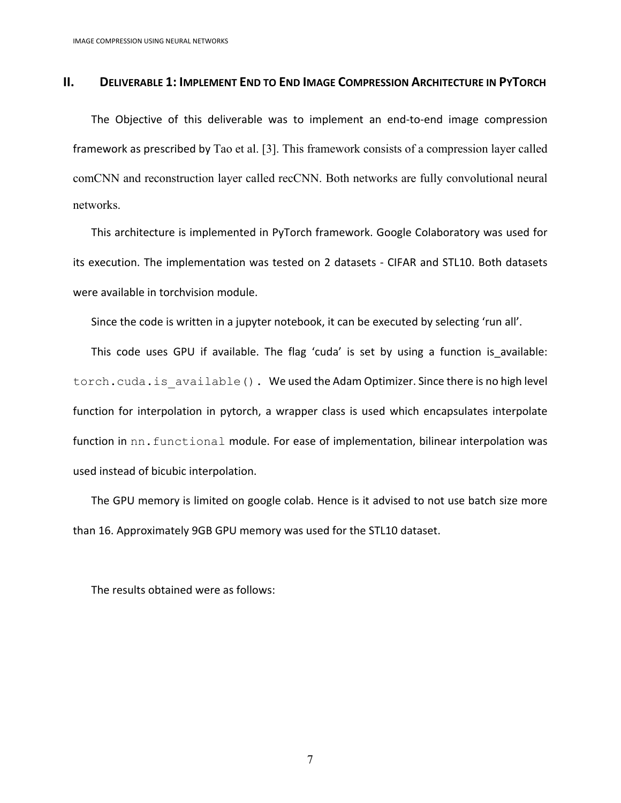### **II. DELIVERABLE 1: IMPLEMENT END TO END IMAGE COMPRESSION ARCHITECTURE IN PYTORCH**

The Objective of this deliverable was to implement an end-to-end image compression framework as prescribed by Tao et al. [3]. This framework consists of a compression layer called comCNN and reconstruction layer called recCNN. Both networks are fully convolutional neural networks.

This architecture is implemented in PyTorch framework. Google Colaboratory was used for its execution. The implementation was tested on 2 datasets - CIFAR and STL10. Both datasets were available in torchvision module.

Since the code is written in a jupyter notebook, it can be executed by selecting 'run all'.

This code uses GPU if available. The flag 'cuda' is set by using a function is available: torch.cuda.is available(). We used the Adam Optimizer. Since there is no high level function for interpolation in pytorch, a wrapper class is used which encapsulates interpolate function in nn.functional module. For ease of implementation, bilinear interpolation was used instead of bicubic interpolation.

The GPU memory is limited on google colab. Hence is it advised to not use batch size more than 16. Approximately 9GB GPU memory was used for the STL10 dataset.

The results obtained were as follows: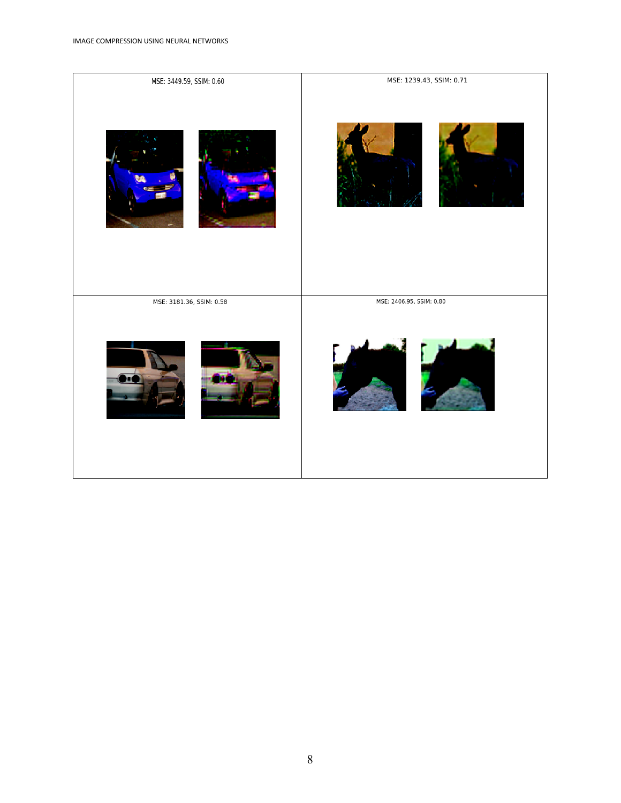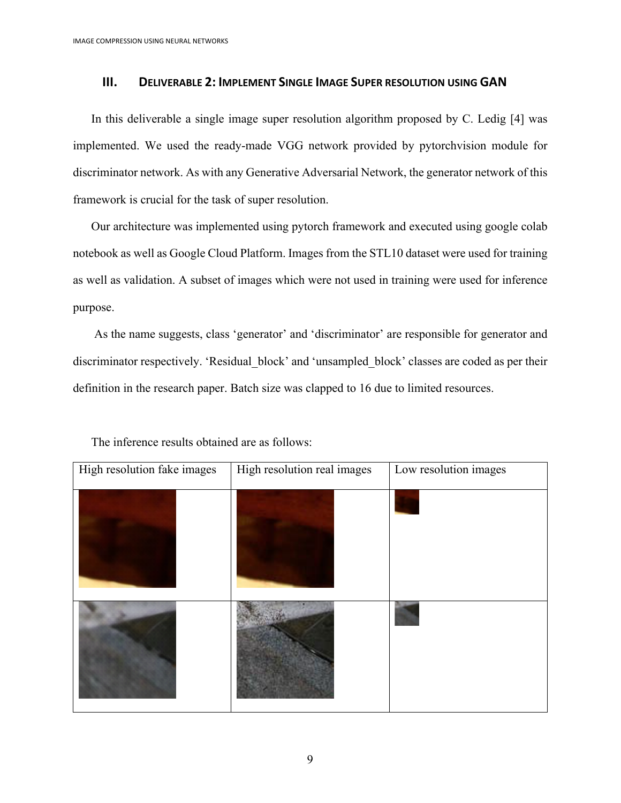#### **III. DELIVERABLE 2: IMPLEMENT SINGLE IMAGE SUPER RESOLUTION USING GAN**

In this deliverable a single image super resolution algorithm proposed by C. Ledig [4] was implemented. We used the ready-made VGG network provided by pytorchvision module for discriminator network. As with any Generative Adversarial Network, the generator network of this framework is crucial for the task of super resolution.

Our architecture was implemented using pytorch framework and executed using google colab notebook as well as Google Cloud Platform. Images from the STL10 dataset were used for training as well as validation. A subset of images which were not used in training were used for inference purpose.

As the name suggests, class 'generator' and 'discriminator' are responsible for generator and discriminator respectively. 'Residual block' and 'unsampled block' classes are coded as per their definition in the research paper. Batch size was clapped to 16 due to limited resources.

| High resolution fake images | High resolution real images | Low resolution images |
|-----------------------------|-----------------------------|-----------------------|
|                             |                             |                       |
|                             |                             |                       |

The inference results obtained are as follows: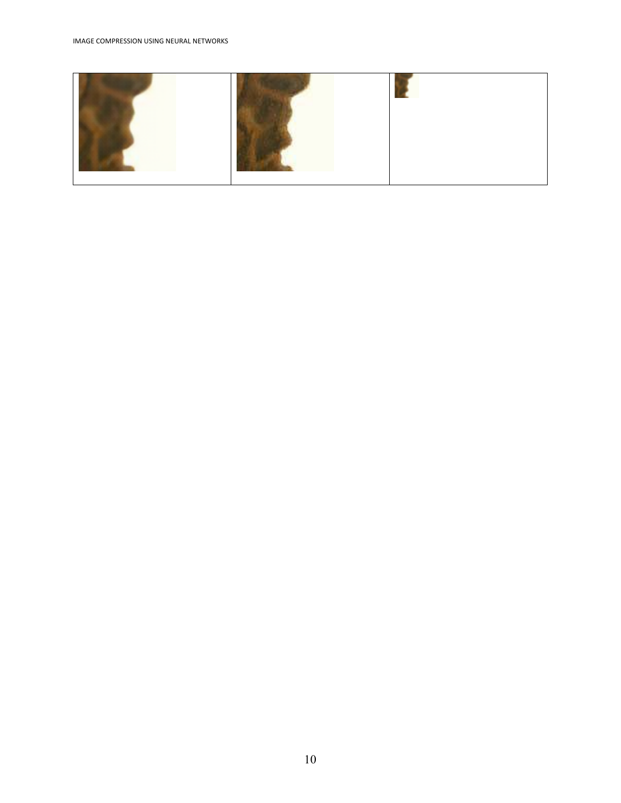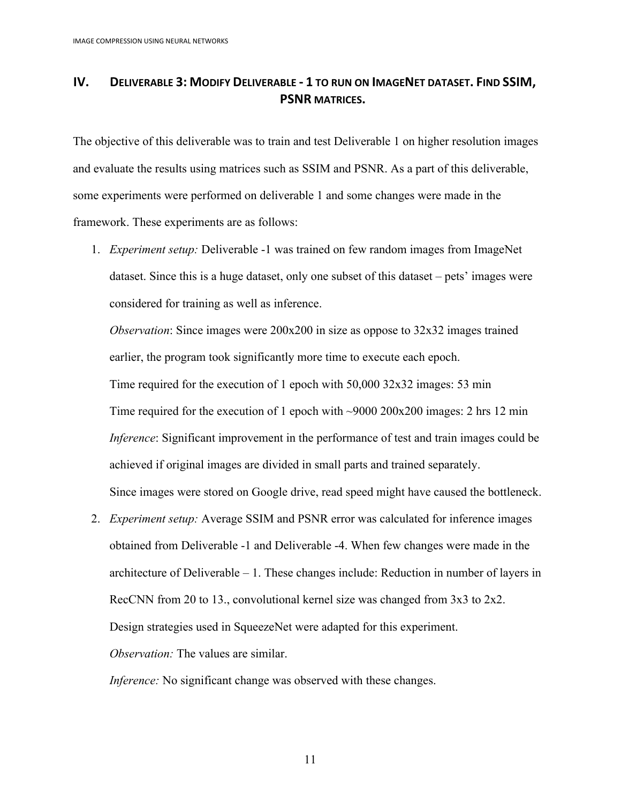## **IV. DELIVERABLE 3: MODIFY DELIVERABLE - 1 TO RUN ON IMAGENET DATASET. FIND SSIM, PSNR MATRICES.**

The objective of this deliverable was to train and test Deliverable 1 on higher resolution images and evaluate the results using matrices such as SSIM and PSNR. As a part of this deliverable, some experiments were performed on deliverable 1 and some changes were made in the framework. These experiments are as follows:

1. *Experiment setup:* Deliverable -1 was trained on few random images from ImageNet dataset. Since this is a huge dataset, only one subset of this dataset – pets' images were considered for training as well as inference.

*Observation*: Since images were 200x200 in size as oppose to 32x32 images trained earlier, the program took significantly more time to execute each epoch.

Time required for the execution of 1 epoch with 50,000 32x32 images: 53 min Time required for the execution of 1 epoch with ~9000 200x200 images: 2 hrs 12 min *Inference*: Significant improvement in the performance of test and train images could be achieved if original images are divided in small parts and trained separately. Since images were stored on Google drive, read speed might have caused the bottleneck.

2. *Experiment setup:* Average SSIM and PSNR error was calculated for inference images obtained from Deliverable -1 and Deliverable -4. When few changes were made in the architecture of Deliverable – 1. These changes include: Reduction in number of layers in RecCNN from 20 to 13., convolutional kernel size was changed from 3x3 to 2x2. Design strategies used in SqueezeNet were adapted for this experiment.

*Observation:* The values are similar.

*Inference:* No significant change was observed with these changes.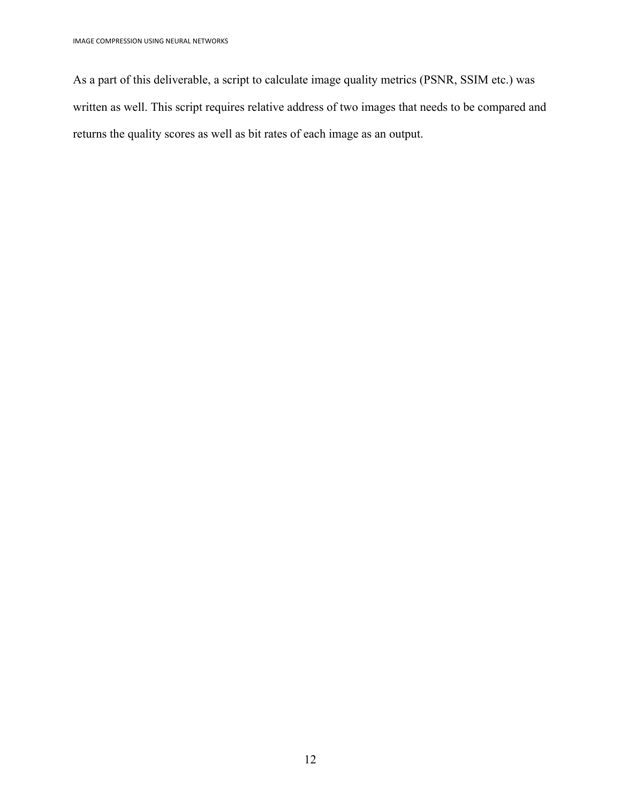As a part of this deliverable, a script to calculate image quality metrics (PSNR, SSIM etc.) was written as well. This script requires relative address of two images that needs to be compared and returns the quality scores as well as bit rates of each image as an output.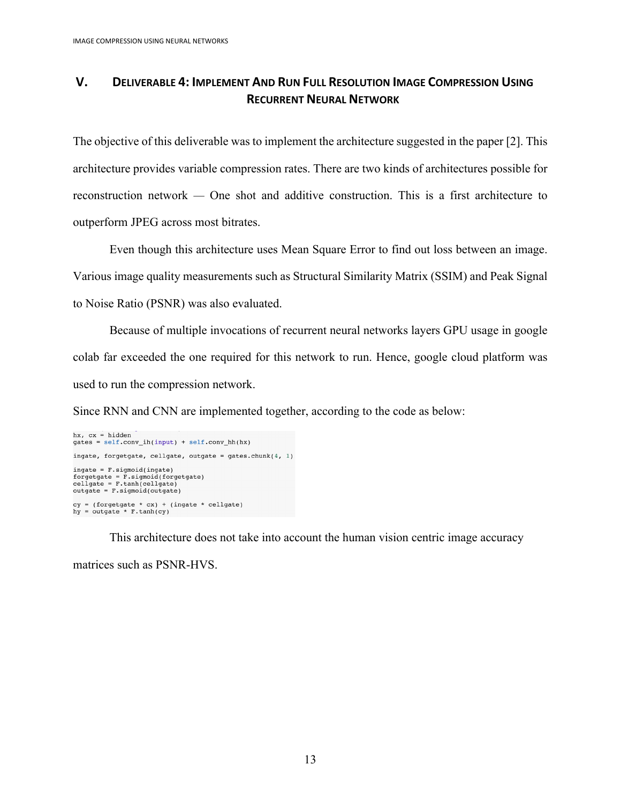## **V. DELIVERABLE 4: IMPLEMENT AND RUN FULL RESOLUTION IMAGE COMPRESSION USING RECURRENT NEURAL NETWORK**

The objective of this deliverable was to implement the architecture suggested in the paper [2]. This architecture provides variable compression rates. There are two kinds of architectures possible for reconstruction network *—* One shot and additive construction. This is a first architecture to outperform JPEG across most bitrates.

Even though this architecture uses Mean Square Error to find out loss between an image. Various image quality measurements such as Structural Similarity Matrix (SSIM) and Peak Signal to Noise Ratio (PSNR) was also evaluated.

Because of multiple invocations of recurrent neural networks layers GPU usage in google colab far exceeded the one required for this network to run. Hence, google cloud platform was used to run the compression network.

Since RNN and CNN are implemented together, according to the code as below:

```
hx. cx = hiddengates = self.cony_ih(input) + self.cony_h(hx)ingate, forgetgate, cellgate, outgate = gates.chunk(4, 1)
in\{a} = F.siamoid(in\text{gate})rigator = 1.121 = F.sigmoid(forgetgate)<br>cellgate = F.sigmoid(forgetgate)<br>cellgate = F.tanh(cellgate)<br>outgate = F.sigmoid(outgate)
cy = (forgetgate * cx) + (ingate * cellgate)<br>hy = outgate * F.tanh(cy)
```
This architecture does not take into account the human vision centric image accuracy matrices such as PSNR-HVS.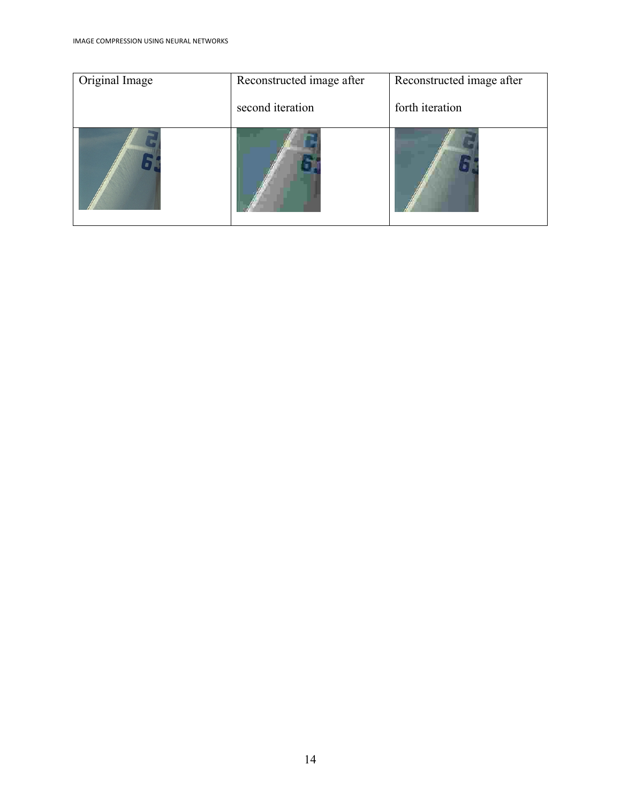| Original Image | Reconstructed image after | Reconstructed image after |
|----------------|---------------------------|---------------------------|
|                | second iteration          | forth iteration           |
|                |                           |                           |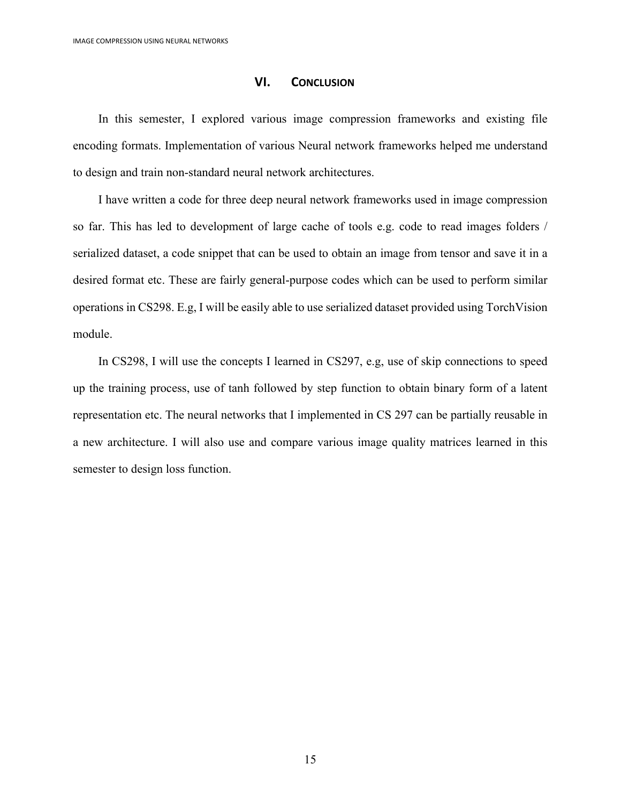#### **VI. CONCLUSION**

In this semester, I explored various image compression frameworks and existing file encoding formats. Implementation of various Neural network frameworks helped me understand to design and train non-standard neural network architectures.

I have written a code for three deep neural network frameworks used in image compression so far. This has led to development of large cache of tools e.g. code to read images folders / serialized dataset, a code snippet that can be used to obtain an image from tensor and save it in a desired format etc. These are fairly general-purpose codes which can be used to perform similar operations in CS298. E.g, I will be easily able to use serialized dataset provided using TorchVision module.

In CS298, I will use the concepts I learned in CS297, e.g, use of skip connections to speed up the training process, use of tanh followed by step function to obtain binary form of a latent representation etc. The neural networks that I implemented in CS 297 can be partially reusable in a new architecture. I will also use and compare various image quality matrices learned in this semester to design loss function.